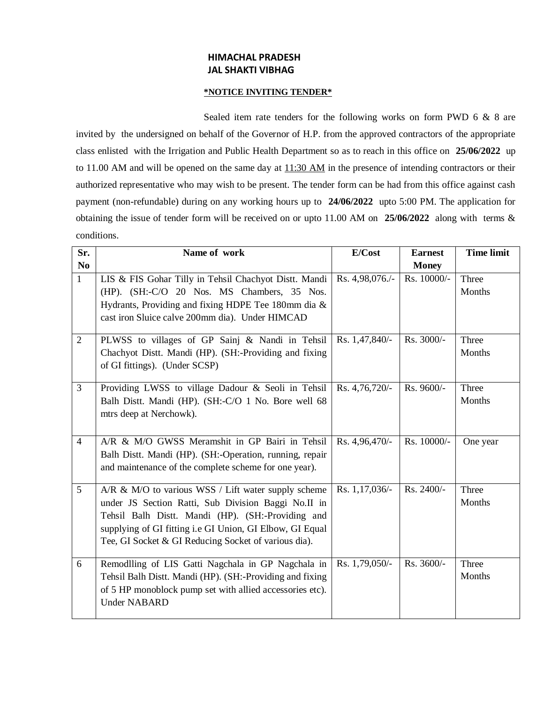# **HIMACHAL PRADESH JAL SHAKTI VIBHAG**

### **\*NOTICE INVITING TENDER\***

Sealed item rate tenders for the following works on form PWD 6 & 8 are invited by the undersigned on behalf of the Governor of H.P. from the approved contractors of the appropriate class enlisted with the Irrigation and Public Health Department so as to reach in this office on **25/06/2022** up to 11.00 AM and will be opened on the same day at 11:30 AM in the presence of intending contractors or their authorized representative who may wish to be present. The tender form can be had from this office against cash payment (non-refundable) during on any working hours up to **24/06/2022** upto 5:00 PM. The application for obtaining the issue of tender form will be received on or upto 11.00 AM on **25/06/2022** along with terms & conditions.

| Sr.            | Name of work                                             | E/Cost          | <b>Earnest</b> | <b>Time limit</b> |
|----------------|----------------------------------------------------------|-----------------|----------------|-------------------|
| N <sub>0</sub> |                                                          |                 | <b>Money</b>   |                   |
| $\mathbf{1}$   | LIS & FIS Gohar Tilly in Tehsil Chachyot Distt. Mandi    | Rs. 4,98,076./- | Rs. 10000/-    | Three             |
|                | (HP). (SH:-C/O 20 Nos. MS Chambers, 35 Nos.              |                 |                | Months            |
|                | Hydrants, Providing and fixing HDPE Tee 180mm dia &      |                 |                |                   |
|                | cast iron Sluice calve 200mm dia). Under HIMCAD          |                 |                |                   |
| $\overline{2}$ | PLWSS to villages of GP Sainj & Nandi in Tehsil          | Rs. 1,47,840/-  | Rs. 3000/-     | Three             |
|                | Chachyot Distt. Mandi (HP). (SH:-Providing and fixing    |                 |                | Months            |
|                | of GI fittings). (Under SCSP)                            |                 |                |                   |
| $\overline{3}$ | Providing LWSS to village Dadour & Seoli in Tehsil       | Rs. 4,76,720/-  | Rs. 9600/-     | Three             |
|                | Balh Distt. Mandi (HP). (SH:-C/O 1 No. Bore well 68      |                 |                | Months            |
|                | mtrs deep at Nerchowk).                                  |                 |                |                   |
|                |                                                          |                 |                |                   |
| $\overline{4}$ | A/R & M/O GWSS Meramshit in GP Bairi in Tehsil           | Rs. 4,96,470/-  | Rs. 10000/-    | One year          |
|                | Balh Distt. Mandi (HP). (SH:-Operation, running, repair  |                 |                |                   |
|                | and maintenance of the complete scheme for one year).    |                 |                |                   |
| 5              | A/R & M/O to various WSS / Lift water supply scheme      | Rs. 1,17,036/-  | Rs. 2400/-     | Three             |
|                | under JS Section Ratti, Sub Division Baggi No.II in      |                 |                | Months            |
|                | Tehsil Balh Distt. Mandi (HP). (SH:-Providing and        |                 |                |                   |
|                | supplying of GI fitting i.e GI Union, GI Elbow, GI Equal |                 |                |                   |
|                | Tee, GI Socket & GI Reducing Socket of various dia).     |                 |                |                   |
| 6              | Remodlling of LIS Gatti Nagchala in GP Nagchala in       | Rs. 1,79,050/-  | Rs. 3600/-     | Three             |
|                | Tehsil Balh Distt. Mandi (HP). (SH:-Providing and fixing |                 |                | Months            |
|                | of 5 HP monoblock pump set with allied accessories etc). |                 |                |                   |
|                | <b>Under NABARD</b>                                      |                 |                |                   |
|                |                                                          |                 |                |                   |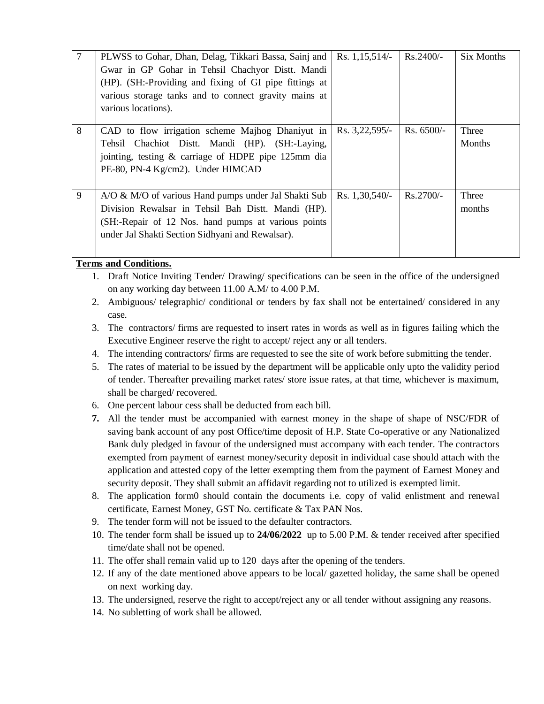|   | PLWSS to Gohar, Dhan, Delag, Tikkari Bassa, Sainj and<br>Gwar in GP Gohar in Tehsil Chachyor Distt. Mandi<br>(HP). (SH:-Providing and fixing of GI pipe fittings at<br>various storage tanks and to connect gravity mains at<br>various locations). | Rs. $1,15,514/-$ | Rs.2400/-    | Six Months      |
|---|-----------------------------------------------------------------------------------------------------------------------------------------------------------------------------------------------------------------------------------------------------|------------------|--------------|-----------------|
| 8 | CAD to flow irrigation scheme Majhog Dhaniyut in<br>Tehsil Chachiot Distt. Mandi (HP). (SH:-Laying,<br>jointing, testing & carriage of HDPE pipe 125mm dia<br>PE-80, PN-4 Kg/cm2). Under HIMCAD                                                     | Rs. 3,22,595/-   | $Rs. 6500/-$ | Three<br>Months |
| 9 | A/O & M/O of various Hand pumps under Jal Shakti Sub<br>Division Rewalsar in Tehsil Bah Distt. Mandi (HP).<br>(SH:-Repair of 12 Nos. hand pumps at various points<br>under Jal Shakti Section Sidhyani and Rewalsar).                               | Rs. $1,30,540/-$ | Rs.2700/-    | Three<br>months |

#### **Terms and Conditions.**

- 1. Draft Notice Inviting Tender/ Drawing/ specifications can be seen in the office of the undersigned on any working day between 11.00 A.M/ to 4.00 P.M.
- 2. Ambiguous/ telegraphic/ conditional or tenders by fax shall not be entertained/ considered in any case.
- 3. The contractors/ firms are requested to insert rates in words as well as in figures failing which the Executive Engineer reserve the right to accept/ reject any or all tenders.
- 4. The intending contractors/ firms are requested to see the site of work before submitting the tender.
- 5. The rates of material to be issued by the department will be applicable only upto the validity period of tender. Thereafter prevailing market rates/ store issue rates, at that time, whichever is maximum, shall be charged/ recovered.
- 6. One percent labour cess shall be deducted from each bill.
- **7.** All the tender must be accompanied with earnest money in the shape of shape of NSC/FDR of saving bank account of any post Office/time deposit of H.P. State Co-operative or any Nationalized Bank duly pledged in favour of the undersigned must accompany with each tender. The contractors exempted from payment of earnest money/security deposit in individual case should attach with the application and attested copy of the letter exempting them from the payment of Earnest Money and security deposit. They shall submit an affidavit regarding not to utilized is exempted limit.
- 8. The application form0 should contain the documents i.e. copy of valid enlistment and renewal certificate, Earnest Money, GST No. certificate & Tax PAN Nos.
- 9. The tender form will not be issued to the defaulter contractors.
- 10. The tender form shall be issued up to **24/06/2022** up to 5.00 P.M. & tender received after specified time/date shall not be opened.
- 11. The offer shall remain valid up to 120 days after the opening of the tenders.
- 12. If any of the date mentioned above appears to be local/ gazetted holiday, the same shall be opened on next working day.
- 13. The undersigned, reserve the right to accept/reject any or all tender without assigning any reasons.
- 14. No subletting of work shall be allowed.